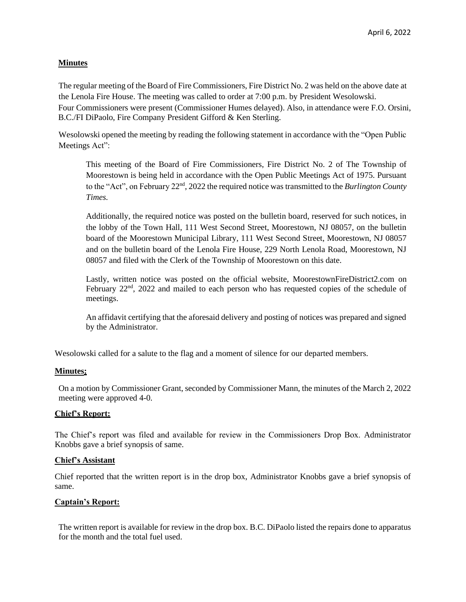# **Minutes**

The regular meeting of the Board of Fire Commissioners, Fire District No. 2 was held on the above date at the Lenola Fire House. The meeting was called to order at 7:00 p.m. by President Wesolowski. Four Commissioners were present (Commissioner Humes delayed). Also, in attendance were F.O. Orsini, B.C./FI DiPaolo, Fire Company President Gifford & Ken Sterling.

Wesolowski opened the meeting by reading the following statement in accordance with the "Open Public Meetings Act":

This meeting of the Board of Fire Commissioners, Fire District No. 2 of The Township of Moorestown is being held in accordance with the Open Public Meetings Act of 1975. Pursuant to the "Act", on February 22<sup>nd</sup>, 2022 the required notice was transmitted to the *Burlington County Times.*

Additionally, the required notice was posted on the bulletin board, reserved for such notices, in the lobby of the Town Hall, 111 West Second Street, Moorestown, NJ 08057, on the bulletin board of the Moorestown Municipal Library, 111 West Second Street, Moorestown, NJ 08057 and on the bulletin board of the Lenola Fire House, 229 North Lenola Road, Moorestown, NJ 08057 and filed with the Clerk of the Township of Moorestown on this date.

Lastly, written notice was posted on the official website, MoorestownFireDistrict2.com on February 22<sup>nd</sup>, 2022 and mailed to each person who has requested copies of the schedule of meetings.

An affidavit certifying that the aforesaid delivery and posting of notices was prepared and signed by the Administrator.

Wesolowski called for a salute to the flag and a moment of silence for our departed members.

### **Minutes:**

On a motion by Commissioner Grant, seconded by Commissioner Mann, the minutes of the March 2, 2022 meeting were approved 4-0.

### **Chief's Report:**

The Chief's report was filed and available for review in the Commissioners Drop Box. Administrator Knobbs gave a brief synopsis of same.

### **Chief's Assistant**

Chief reported that the written report is in the drop box, Administrator Knobbs gave a brief synopsis of same.

### **Captain's Report:**

The written report is available for review in the drop box. B.C. DiPaolo listed the repairs done to apparatus for the month and the total fuel used.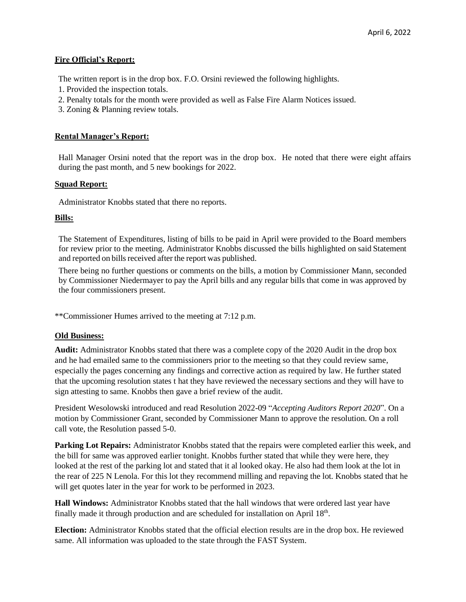## **Fire Official's Report:**

The written report is in the drop box. F.O. Orsini reviewed the following highlights.

- 1. Provided the inspection totals.
- 2. Penalty totals for the month were provided as well as False Fire Alarm Notices issued.
- 3. Zoning & Planning review totals.

## **Rental Manager's Report:**

Hall Manager Orsini noted that the report was in the drop box. He noted that there were eight affairs during the past month, and 5 new bookings for 2022.

## **Squad Report:**

Administrator Knobbs stated that there no reports.

## **Bills:**

The Statement of Expenditures, listing of bills to be paid in April were provided to the Board members for review prior to the meeting. Administrator Knobbs discussed the bills highlighted on said Statement and reported on bills received after the report was published.

There being no further questions or comments on the bills, a motion by Commissioner Mann, seconded by Commissioner Niedermayer to pay the April bills and any regular bills that come in was approved by the four commissioners present.

\*\*Commissioner Humes arrived to the meeting at 7:12 p.m.

### **Old Business:**

**Audit:** Administrator Knobbs stated that there was a complete copy of the 2020 Audit in the drop box and he had emailed same to the commissioners prior to the meeting so that they could review same, especially the pages concerning any findings and corrective action as required by law. He further stated that the upcoming resolution states t hat they have reviewed the necessary sections and they will have to sign attesting to same. Knobbs then gave a brief review of the audit.

President Wesolowski introduced and read Resolution 2022-09 "*Accepting Auditors Report 2020*". On a motion by Commissioner Grant, seconded by Commissioner Mann to approve the resolution. On a roll call vote, the Resolution passed 5-0.

**Parking Lot Repairs:** Administrator Knobbs stated that the repairs were completed earlier this week, and the bill for same was approved earlier tonight. Knobbs further stated that while they were here, they looked at the rest of the parking lot and stated that it al looked okay. He also had them look at the lot in the rear of 225 N Lenola. For this lot they recommend milling and repaving the lot. Knobbs stated that he will get quotes later in the year for work to be performed in 2023.

**Hall Windows:** Administrator Knobbs stated that the hall windows that were ordered last year have finally made it through production and are scheduled for installation on April  $18<sup>th</sup>$ .

**Election:** Administrator Knobbs stated that the official election results are in the drop box. He reviewed same. All information was uploaded to the state through the FAST System.